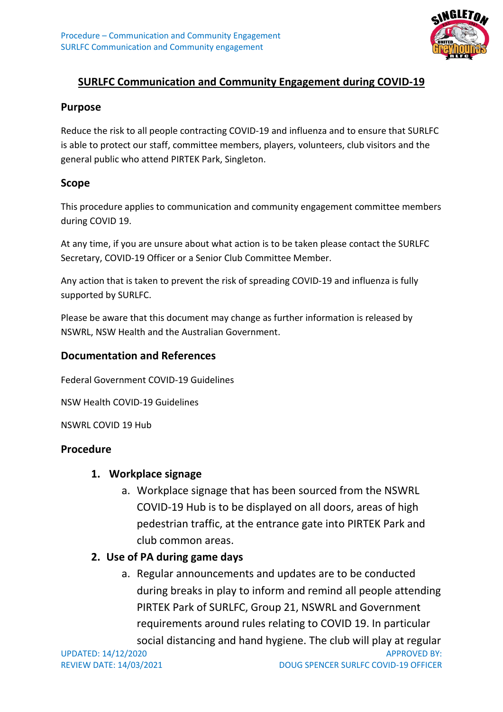

# **SURLFC Communication and Community Engagement during COVID-19**

#### **Purpose**

Reduce the risk to all people contracting COVID-19 and influenza and to ensure that SURLFC is able to protect our staff, committee members, players, volunteers, club visitors and the general public who attend PIRTEK Park, Singleton.

#### **Scope**

This procedure applies to communication and community engagement committee members during COVID 19.

At any time, if you are unsure about what action is to be taken please contact the SURLFC Secretary, COVID-19 Officer or a Senior Club Committee Member.

Any action that is taken to prevent the risk of spreading COVID-19 and influenza is fully supported by SURLFC.

Please be aware that this document may change as further information is released by NSWRL, NSW Health and the Australian Government.

### **Documentation and References**

Federal Government COVID-19 Guidelines

NSW Health COVID-19 Guidelines

NSWRL COVID 19 Hub

#### **Procedure**

#### **1. Workplace signage**

a. Workplace signage that has been sourced from the NSWRL COVID-19 Hub is to be displayed on all doors, areas of high pedestrian traffic, at the entrance gate into PIRTEK Park and club common areas.

## **2. Use of PA during game days**

a. Regular announcements and updates are to be conducted during breaks in play to inform and remind all people attending PIRTEK Park of SURLFC, Group 21, NSWRL and Government requirements around rules relating to COVID 19. In particular social distancing and hand hygiene. The club will play at regular

UPDATED: 14/12/2020 APPROVED BY: